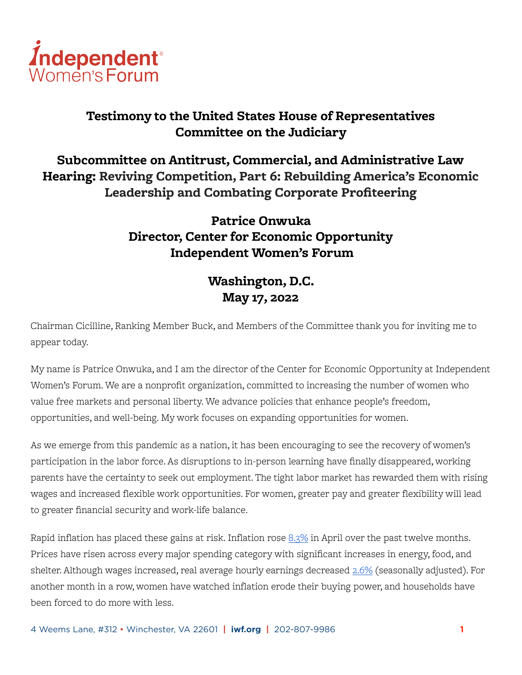

### **Testimony to the United States House of Representatives Committee on the Judiciary**

**Subcommittee on Antitrust, Commercial, and Administrative Law Hearing: Reviving Competition, Part 6: Rebuilding America's Economic Leadership and Combating Corporate Profiteering**

# **Patrice Onwuka Director, Center for Economic Opportunity Independent Women's Forum**

# **Washington, D.C. May 17, 2022**

Chairman Cicilline, Ranking Member Buck, and Members of the Committee thank you for inviting me to appear today.

My name is Patrice Onwuka, and I am the director of the Center for Economic Opportunity at Independent Women's Forum. We are a nonprofit organization, committed to increasing the number of women who value free markets and personal liberty. We advance policies that enhance people's freedom, opportunities, and well-being. My work focuses on expanding opportunities for women.

As we emerge from this pandemic as a nation, it has been encouraging to see the recovery of women's participation in the labor force. As disruptions to in-person learning have finally disappeared, working parents have the certainty to seek out employment. The tight labor market has rewarded them with rising wages and increased flexible work opportunities. For women, greater pay and greater flexibility will lead to greater financial security and work-life balance.

Rapid inflation has placed these gains at risk. Inflation rose  $8.3\%$  in April over the past twelve months. Prices have risen across every major spending category with significant increases in energy, food, and shelter. Although wages increased, real average hourly earnings decreased [2.6%](https://www.bls.gov/news.release/pdf/realer.pdf) (seasonally adjusted). For another month in a row, women have watched inflation erode their buying power, and households have been forced to do more with less.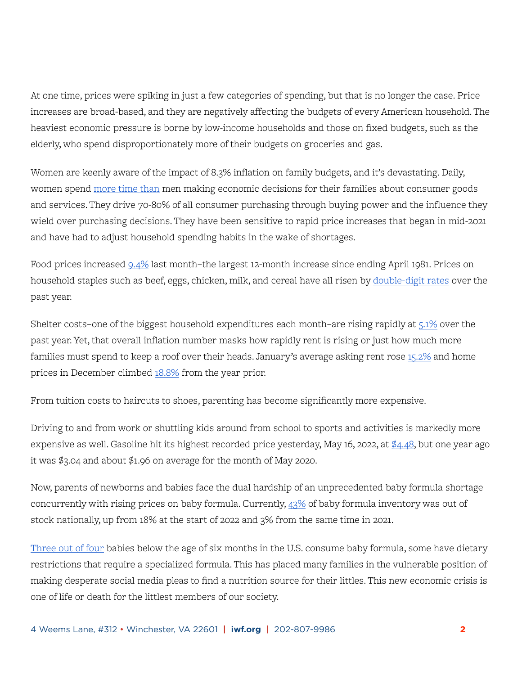At one time, prices were spiking in just a few categories of spending, but that is no longer the case. Price increases are broad-based, and they are negatively affecting the budgets of every American household. The heaviest economic pressure is borne by low-income households and those on fixed budgets, such as the elderly, who spend disproportionately more of their budgets on groceries and gas.

Women are keenly aware of the impact of 8.3% inflation on family budgets, and it's devastating. Daily, women spend [more time than](https://www.bls.gov/news.release/pdf/atus.pdf?mod=article_inline) men making economic decisions for their families about consumer goods and services. They drive 70-80% of all consumer purchasing through buying power and the influence they wield over purchasing decisions. They have been sensitive to rapid price increases that began in mid-2021 and have had to adjust household spending habits in the wake of shortages.

Food prices increased [9.4%](https://www.bls.gov/news.release/cpi.nr0.htm) last month–the largest 12-month increase since ending April 1981. Prices on household staples such as beef, eggs, chicken, milk, and cereal have all risen by [double-digit rates](https://www.bls.gov/news.release/cpi.t02.htm) over the past year.

Shelter costs-one of the biggest household expenditures each month-are rising rapidly at [5.1%](https://www.bls.gov/news.release/cpi.nr0.htm) over the past year. Yet, that overall inflation number masks how rapidly rent is rising or just how much more families must spend to keep a roof over their heads. January's average asking rent rose [15.2%](https://www.redfin.com/news/redfin-rental-report-january-2022/) and home prices in December climbed [18.8%](https://www.spglobal.com/spdji/en/documents/indexnews/announcements/20220222-1450062/1450062_cshomeprice-release-0222.pdf) from the year prior.

From tuition costs to haircuts to shoes, parenting has become significantly more expensive.

Driving to and from work or shuttling kids around from school to sports and activities is markedly more expensive as well. Gasoline hit its highest recorded price yesterday, May 16, 2022, at  $\frac{\cancel{6}4.48}{4.48}$ , but one year ago it was \$3.04 and about \$1.96 on average for the month of May 2020.

Now, parents of newborns and babies face the dual hardship of an unprecedented baby formula shortage concurrently with rising prices on baby formula. Currently, [43%](https://www.marketplace.org/2022/05/13/more-than-40-of-baby-formula-out-of-stock-data-company-says/) of baby formula inventory was out of stock nationally, up from 18% at the start of 2022 and 3% from the same time in 2021.

[Three out of four](https://www.axios.com/2022/05/12/baby-formula-shortage-prices) babies below the age of six months in the U.S. consume baby formula, some have dietary restrictions that require a specialized formula. This has placed many families in the vulnerable position of making desperate social media pleas to find a nutrition source for their littles. This new economic crisis is one of life or death for the littlest members of our society.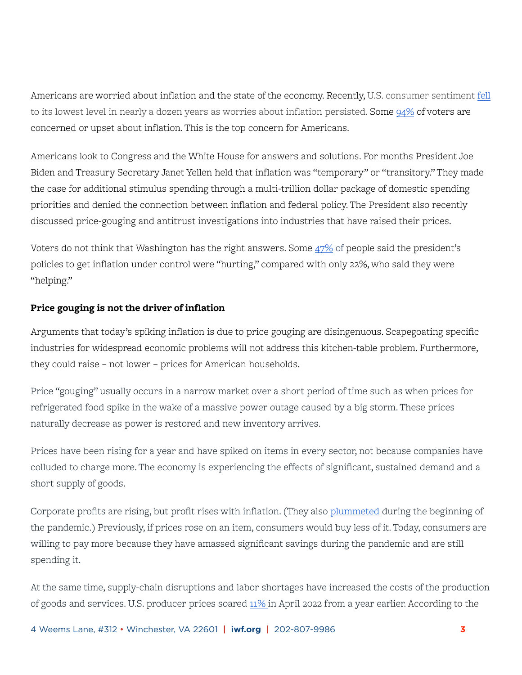Americans are worried about inflation and the state of the economy. Recently, U.S. consumer sentiment [fell](https://www.mvariety.com/business/us-consumer-sentiment-approaches-11-year-low-monthly-import-prices-unchanged/article_45c87bea-d432-11ec-92ca-f7e3b1de835e.html) to its lowest level in nearly a dozen years as worries about inflation persisted. Some [94%](https://thehill.com/policy/finance/economy/3473166-94-percent-in-new-poll-worried-about-inflation/) of voters are concerned or upset about inflation. This is the top concern for Americans.

Americans look to Congress and the White House for answers and solutions. For months President Joe Biden and Treasury Secretary Janet Yellen held that inflation was "temporary" or "transitory." They made the case for additional stimulus spending through a multi-trillion dollar package of domestic spending priorities and denied the connection between inflation and federal policy. The President also recently discussed price-gouging and antitrust investigations into industries that have raised their prices.

Voters do not think that Washington has the right answers. Some  $47\%$  of people said the president's policies to get inflation under control were "hurting," compared with only 22%, who said they were "helping."

### **Price gouging is not the driver of inflation**

Arguments that today's spiking inflation is due to price gouging are disingenuous. Scapegoating specific industries for widespread economic problems will not address this kitchen-table problem. Furthermore, they could raise – not lower – prices for American households.

Price "gouging" usually occurs in a narrow market over a short period of time such as when prices for refrigerated food spike in the wake of a massive power outage caused by a big storm. These prices naturally decrease as power is restored and new inventory arrives.

Prices have been rising for a year and have spiked on items in every sector, not because companies have colluded to charge more. The economy is experiencing the effects of significant, sustained demand and a short supply of goods.

Corporate profits are rising, but profit rises with inflation. (They also [plummeted](https://fred.stlouisfed.org/series/CP) during the beginning of the pandemic.) Previously, if prices rose on an item, consumers would buy less of it. Today, consumers are willing to pay more because they have amassed significant savings during the pandemic and are still spending it.

At the same time, supply-chain disruptions and labor shortages have increased the costs of the production of goods and services. U.S. producer prices soared [11% i](https://apnews.com/article/prices-inflation-consumer-producer-0cca987996c2508acdc966a2126a00f4)n April 2022 from a year earlier. According to the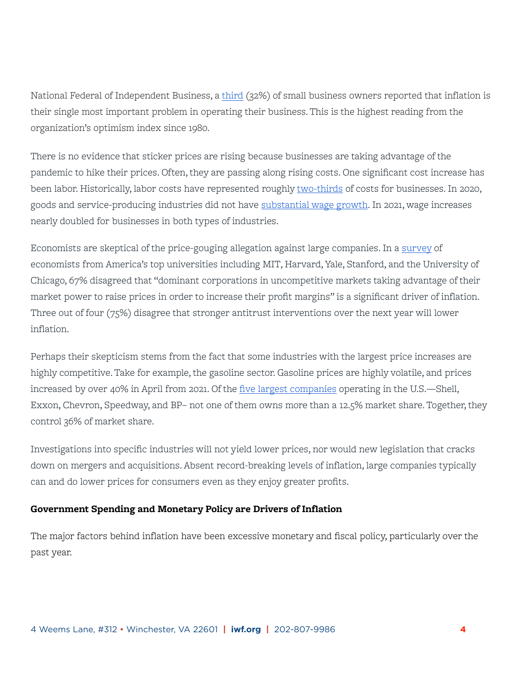National Federal of Independent Business, a [third](https://www.nfib.com/content/press-release/economy/small-business-expectations-for-better-business-conditions-at-record-48-year-low/) (32%) of small business owners reported that inflation is their single most important problem in operating their business. This is the highest reading from the organization's optimism index since 1980.

There is no evidence that sticker prices are rising because businesses are taking advantage of the pandemic to hike their prices. Often, they are passing along rising costs. One significant cost increase has been labor. Historically, labor costs have represented roughly [two-thirds](https://www.bls.gov/opub/mlr/cwc/the-relationship-between-labor-costs-and-inflation-a-cyclical-viewpoint.pdf) of costs for businesses. In 2020, goods and service-producing industries did not have [substantial wage growth.](https://www2.deloitte.com/us/en/insights/economy/spotlight/wage-increase-inflationary-pressure.html) In 2021, wage increases nearly doubled for businesses in both types of industries.

Economists are skeptical of the price-gouging allegation against large companies. In a [survey](https://www.igmchicago.org/surveys/inflation-market-power-and-price-controls/) of economists from America's top universities including MIT, Harvard, Yale, Stanford, and the University of Chicago, 67% disagreed that "dominant corporations in uncompetitive markets taking advantage of their market power to raise prices in order to increase their profit margins" is a significant driver of inflation. Three out of four (75%) disagree that stronger antitrust interventions over the next year will lower inflation.

Perhaps their skepticism stems from the fact that some industries with the largest price increases are highly competitive. Take for example, the gasoline sector. Gasoline prices are highly volatile, and prices increased by over 40% in April from 2021. Of the [five largest companies](https://www.cspdailynews.com/fuels/2020-fuels-50-top-5-gas-brands-market-share) operating in the U.S.—Shell, Exxon, Chevron, Speedway, and BP– not one of them owns more than a 12.5% market share. Together, they control 36% of market share.

Investigations into specific industries will not yield lower prices, nor would new legislation that cracks down on mergers and acquisitions. Absent record-breaking levels of inflation, large companies typically can and do lower prices for consumers even as they enjoy greater profits.

### **Government Spending and Monetary Policy are Drivers of Inflation**

The major factors behind inflation have been excessive monetary and fiscal policy, particularly over the past year.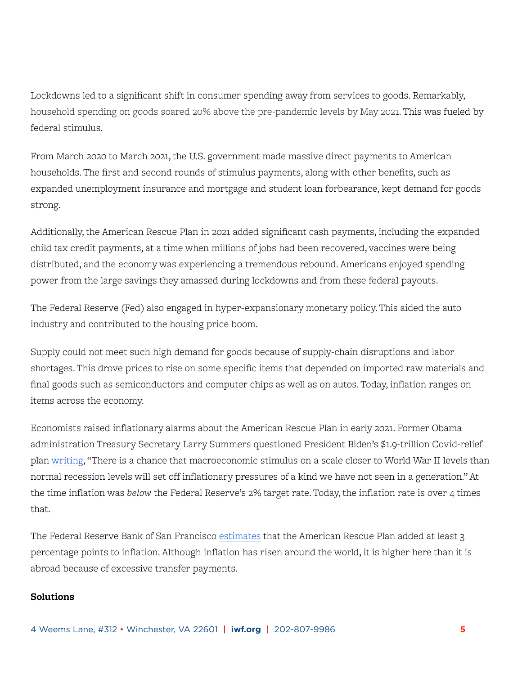Lockdowns led to a significant shift in consumer spending away from services to goods. Remarkably, household spending on goods soared 20% above the pre-pandemic levels by May 2021. This was fueled by federal stimulus.

From March 2020 to March 2021, the U.S. government made massive direct payments to American households. The first and second rounds of stimulus payments, along with other benefits, such as expanded unemployment insurance and mortgage and student loan forbearance, kept demand for goods strong.

Additionally, the American Rescue Plan in 2021 added significant cash payments, including the expanded child tax credit payments, at a time when millions of jobs had been recovered, vaccines were being distributed, and the economy was experiencing a tremendous rebound. Americans enjoyed spending power from the large savings they amassed during lockdowns and from these federal payouts.

The Federal Reserve (Fed) also engaged in hyper-expansionary monetary policy. This aided the auto industry and contributed to the housing price boom.

Supply could not meet such high demand for goods because of supply-chain disruptions and labor shortages. This drove prices to rise on some specific items that depended on imported raw materials and final goods such as semiconductors and computer chips as well as on autos. Today, inflation ranges on items across the economy.

Economists raised inflationary alarms about the American Rescue Plan in early 2021. Former Obama administration Treasury Secretary Larry Summers questioned President Biden's \$1.9-trillion Covid-relief plan [writing,](https://www.washingtonpost.com/opinions/2021/02/04/larry-summers-biden-covid-stimulus/) "There is a chance that macroeconomic stimulus on a scale closer to World War II levels than normal recession levels will set off inflationary pressures of a kind we have not seen in a generation." At the time inflation was *below* the Federal Reserve's 2% target rate. Today, the inflation rate is over 4 times that.

The Federal Reserve Bank of San Francisco [estimates](https://www.frbsf.org/economic-research/publications/economic-letter/2022/march/why-is-us-inflation-higher-than-in-other-countries/) that the American Rescue Plan added at least 3 percentage points to inflation. Although inflation has risen around the world, it is higher here than it is abroad because of excessive transfer payments.

#### **Solutions**